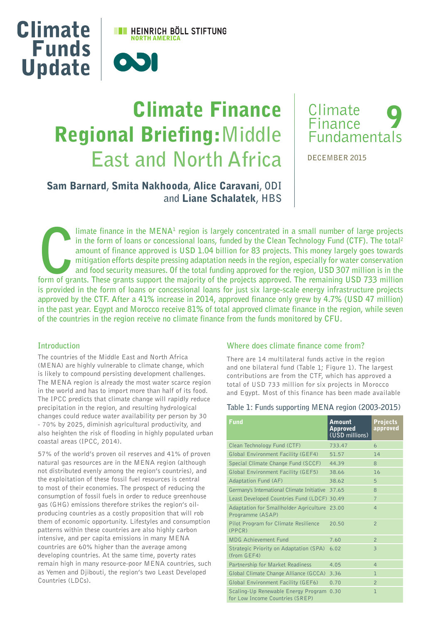

# Climate Finance Regional Briefing:**Middle East and North Africa**



**DECEMBER 2015**

## Sam Barnard**,** Smita Nakhooda**,** Alice Caravani**, ODI and** Liane Schalatek**, HBS**

**Form of grants. These grants support the majority of the projects approved. This money largely goes towards and food security measures. Of the total funding approved for the region, especially for water conservation and f** limate finance in the MENA<sup>1</sup> region is largely concentrated in a small number of large projects **in the form of loans or concessional loans, funded by the Clean Technology Fund (CTF). The total2 amount of finance approved is USD 1.04 billion for 83 projects. This money largely goes towards mitigation efforts despite pressing adaptation needs in the region, especially for water conservation and food security measures. Of the total funding approved for the region, USD 307 million is in the is provided in the form of loans or concessional loans for just six large-scale energy infrastructure projects approved by the CTF. After a 41% increase in 2014, approved finance only grew by 4.7% (USD 47 million) in the past year. Egypt and Morocco receive 81% of total approved climate finance in the region, while seven of the countries in the region receive no climate finance from the funds monitored by CFU.** 

#### **Introduction**

The countries of the Middle East and North Africa (MENA) are highly vulnerable to climate change, which is likely to compound persisting development challenges. The MENA region is already the most water scarce region in the world and has to import more than half of its food. The IPCC predicts that climate change will rapidly reduce precipitation in the region, and resulting hydrological changes could reduce water availability per person by 30 - 70% by 2025, diminish agricultural productivity, and also heighten the risk of flooding in highly populated urban coastal areas (IPCC, 2014).

57% of the world's proven oil reserves and 41% of proven natural gas resources are in the MENA region (although not distributed evenly among the region's countries), and the exploitation of these fossil fuel resources is central to most of their economies. The prospect of reducing the consumption of fossil fuels in order to reduce greenhouse gas (GHG) emissions therefore strikes the region's oilproducing countries as a costly proposition that will rob them of economic opportunity. Lifestyles and consumption patterns within these countries are also highly carbon intensive, and per capita emissions in many MENA countries are 60% higher than the average among developing countries. At the same time, poverty rates remain high in many resource-poor MENA countries, such as Yemen and Djibouti, the region's two Least Developed Countries (LDCs).

#### **Where does climate finance come from?**

There are 14 multilateral funds active in the region and one bilateral fund (Table 1; Figure 1). The largest contributions are from the CTF, which has approved a total of USD 733 million for six projects in Morocco and Egypt. Most of this finance has been made available

#### **Table 1: Funds supporting MENA region (2003-2015)**

| <b>Fund</b>                                                            | Amount<br><b>Approved</b><br>(USD millions) | <b>Projects</b><br>approved |
|------------------------------------------------------------------------|---------------------------------------------|-----------------------------|
| Clean Technology Fund (CTF)                                            | 733.47                                      | 6                           |
| Global Environment Facility (GEF4)                                     | 51.57                                       | 14                          |
| Special Climate Change Fund (SCCF)                                     | 44.39                                       | 8                           |
| Global Environment Facility (GEF5)                                     | 38.66                                       | 16                          |
| <b>Adaptation Fund (AF)</b>                                            | 38.62                                       | 5                           |
| Germany's International Climate Initiative 37.65                       |                                             | 8                           |
| Least Developed Countries Fund (LDCF) 30.49                            |                                             | $\overline{7}$              |
| Adaptation for Smallholder Agriculture 23.00<br>Programme (ASAP)       |                                             | $\overline{4}$              |
| Pilot Program for Climate Resilience<br>(PPCR)                         | 20.50                                       | $\overline{2}$              |
| <b>MDG Achievement Fund</b>                                            | 7.60                                        | $\mathcal{P}$               |
| Strategic Priority on Adaptation (SPA)<br>(from GEF4)                  | 6.02                                        | 3                           |
| Partnership for Market Readiness                                       | 4.05                                        | $\overline{4}$              |
| Global Climate Change Alliance (GCCA)                                  | 3.36                                        | 1                           |
| Global Environment Facility (GEF6)                                     | 0.70                                        | $\overline{2}$              |
| Scaling-Up Renewable Energy Program<br>for Low Income Countries (SREP) | 0.30                                        | 1                           |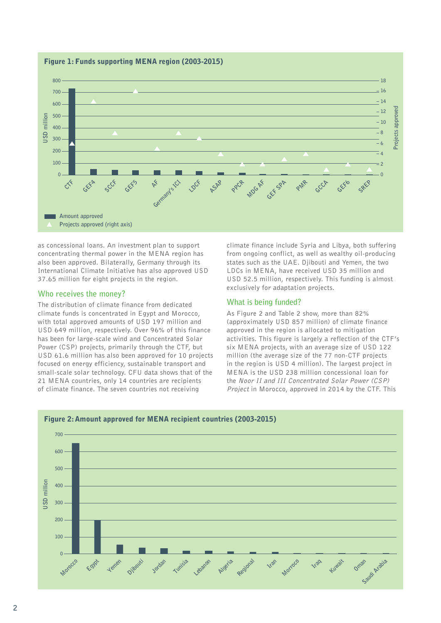

Figure 1: Funds supporting MENA region (2003-2015)

as concessional loans. An investment plan to support concentrating thermal power in the MENA region has also been approved. Bilaterally, Germany through its International Climate Initiative has also approved USD 37.65 million for eight projects in the region.

## **Who receives the money?**

The distribution of climate finance from dedicated climate funds is concentrated in Egypt and Morocco, with total approved amounts of USD 197 million and USD 649 million, respectively. Over 96% of this finance has been for large-scale wind and Concentrated Solar Power (CSP) projects, primarily through the CTF, but USD 61.6 million has also been approved for 10 projects focused on energy efficiency, sustainable transport and small-scale solar technology. CFU data shows that of the 21 MENA countries, only 14 countries are recipients of climate finance. The seven countries not receiving

climate finance include Syria and Libya, both suffering from ongoing conflict, as well as wealthy oil-producing states such as the UAE. Djibouti and Yemen, the two LDCs in MENA, have received USD 35 million and USD 52.5 million, respectively. This funding is almost exclusively for adaptation projects.

### **What is being funded?**

As Figure 2 and Table 2 show, more than 82% (approximately USD 857 million) of climate finance approved in the region is allocated to mitigation activities. This figure is largely a reflection of the CTF's six MENA projects, with an average size of USD 122 million (the average size of the 77 non-CTF projects in the region is USD 4 million). The largest project in MENA is the USD 238 million concessional loan for the Noor II and III Concentrated Solar Power (CSP) Project in Morocco, approved in 2014 by the CTF. This



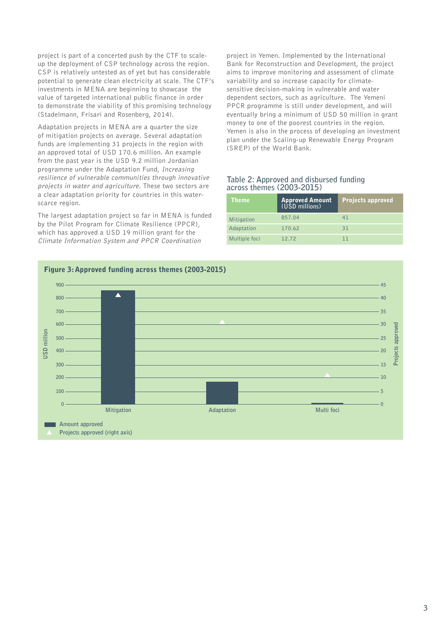project is part of a concerted push by the CTF to scaleup the deployment of CSP technology across the region. CSP is relatively untested as of yet but has considerable potential to generate clean electricity at scale. The CTF's investments in MENA are beginning to showcase the value of targeted international public finance in order to demonstrate the viability of this promising technology (Stadelmann, Frisari and Rosenberg, 2014).

Adaptation projects in MENA are a quarter the size of mitigation projects on average. Several adaptation funds are implementing 31 projects in the region with an approved total of USD 170.6 million. An example from the past year is the USD 9.2 million Jordanian programme under the Adaptation Fund, Increasing resilience of vulnerable communities through innovative projects in water and agriculture. These two sectors are a clear adaptation priority for countries in this waterscarce region.

The largest adaptation project so far in MENA is funded by the Pilot Program for Climate Resilience (PPCR), which has approved a USD 19 million grant for the Climate Information System and PPCR Coordination

project in Yemen. Implemented by the International Bank for Reconstruction and Development, the project aims to improve monitoring and assessment of climate variability and so increase capacity for climatesensitive decision-making in vulnerable and water dependent sectors, such as agriculture. The Yemeni PPCR programme is still under development, and will eventually bring a minimum of USD 50 million in grant money to one of the poorest countries in the region. Yemen is also in the process of developing an investment plan under the Scaling-up Renewable Energy Program (SREP) of the World Bank.

### **Table 2: Approved and disbursed funding across themes (2003-2015)**

|  | Theme         | <b>Approved Amount</b><br>(USD millions) | Projects approved |
|--|---------------|------------------------------------------|-------------------|
|  | Mitigation    | 857.04                                   | 41                |
|  | Adaptation    | 170.62                                   | 31                |
|  | Multiple foci | 12.72                                    | ו ו               |